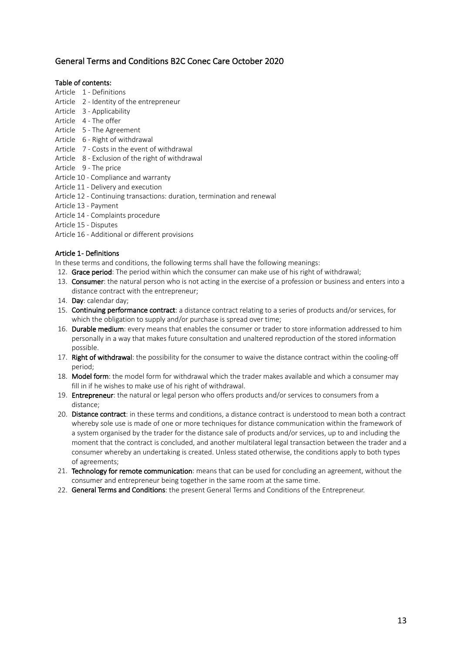# General Terms and Conditions B2C Conec Care October 2020

# Table of contents:

- Article 1 Definitions
- Article 2 Identity of the entrepreneur
- Article 3 Applicability
- Article 4 The offer
- Article 5 The Agreement
- Article 6 Right of withdrawal
- Article 7 Costs in the event of withdrawal
- Article 8 Exclusion of the right of withdrawal
- Article 9 The price
- Article 10 Compliance and warranty
- Article 11 Delivery and execution
- Article 12 Continuing transactions: duration, termination and renewal
- Article 13 Payment
- Article 14 Complaints procedure
- Article 15 Disputes
- Article 16 Additional or different provisions

# Article 1 - Definitions

In these terms and conditions, the following terms shall have the following meanings:

- 12. Grace period: The period within which the consumer can make use of his right of withdrawal;
- 13. Consumer: the natural person who is not acting in the exercise of a profession or business and enters into a distance contract with the entrepreneur;
- 14. Day: calendar day;
- 15. Continuing performance contract: a distance contract relating to a series of products and/or services, for which the obligation to supply and/or purchase is spread over time;
- 16. Durable medium: every means that enables the consumer or trader to store information addressed to him personally in a way that makes future consultation and unaltered reproduction of the stored information possible.
- 17. Right of withdrawal: the possibility for the consumer to waive the distance contract within the cooling-off period;
- 18. Model form: the model form for withdrawal which the trader makes available and which a consumer may fill in if he wishes to make use of his right of withdrawal.
- 19. Entrepreneur: the natural or legal person who offers products and/or services to consumers from a distance;
- 20. Distance contract: in these terms and conditions, a distance contract is understood to mean both a contract whereby sole use is made of one or more techniques for distance communication within the framework of a system organised by the trader for the distance sale of products and/or services, up to and including the moment that the contract is concluded, and another multilateral legal transaction between the trader and a consumer whereby an undertaking is created. Unless stated otherwise, the conditions apply to both types of agreements;
- 21. Technology for remote communication: means that can be used for concluding an agreement, without the consumer and entrepreneur being together in the same room at the same time.
- 22. General Terms and Conditions: the present General Terms and Conditions of the Entrepreneur.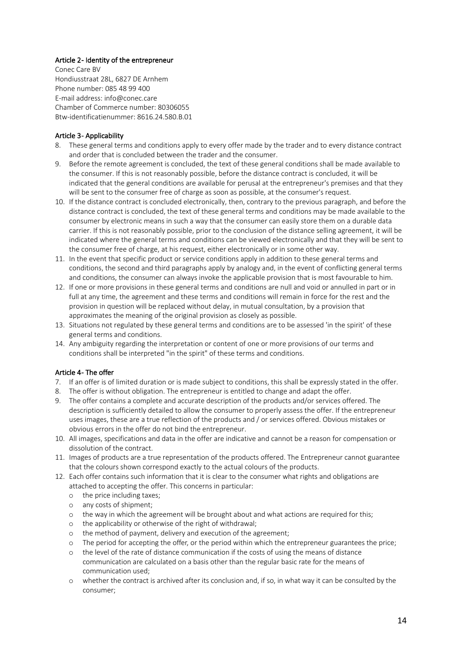# Article 2- Identity of the entrepreneur

Conec Care BV Hondiusstraat 28L, 6827 DE Arnhem Phone number: 085 48 99 400 E-mail address: info@conec.care Chamber of Commerce number: 80306055 Btw-identificatienummer: 8616.24.580.B.01

### Article 3- Applicability

- 8. These general terms and conditions apply to every offer made by the trader and to every distance contract and order that is concluded between the trader and the consumer.
- 9. Before the remote agreement is concluded, the text of these general conditions shall be made available to the consumer. If this is not reasonably possible, before the distance contract is concluded, it will be indicated that the general conditions are available for perusal at the entrepreneur's premises and that they will be sent to the consumer free of charge as soon as possible, at the consumer's request.
- 10. If the distance contract is concluded electronically, then, contrary to the previous paragraph, and before the distance contract is concluded, the text of these general terms and conditions may be made available to the consumer by electronic means in such a way that the consumer can easily store them on a durable data carrier. If this is not reasonably possible, prior to the conclusion of the distance selling agreement, it will be indicated where the general terms and conditions can be viewed electronically and that they will be sent to the consumer free of charge, at his request, either electronically or in some other way.
- 11. In the event that specific product or service conditions apply in addition to these general terms and conditions, the second and third paragraphs apply by analogy and, in the event of conflicting general terms and conditions, the consumer can always invoke the applicable provision that is most favourable to him.
- 12. If one or more provisions in these general terms and conditions are null and void or annulled in part or in full at any time, the agreement and these terms and conditions will remain in force for the rest and the provision in question will be replaced without delay, in mutual consultation, by a provision that approximates the meaning of the original provision as closely as possible.
- 13. Situations not regulated by these general terms and conditions are to be assessed 'in the spirit' of these general terms and conditions.
- 14. Any ambiguity regarding the interpretation or content of one or more provisions of our terms and conditions shall be interpreted "in the spirit" of these terms and conditions.

# Article 4- The offer

- 7. If an offer is of limited duration or is made subject to conditions, this shall be expressly stated in the offer.
- 8. The offer is without obligation. The entrepreneur is entitled to change and adapt the offer.
- 9. The offer contains a complete and accurate description of the products and/or services offered. The description is sufficiently detailed to allow the consumer to properly assess the offer. If the entrepreneur uses images, these are a true reflection of the products and / or services offered. Obvious mistakes or obvious errors in the offer do not bind the entrepreneur.
- 10. All images, specifications and data in the offer are indicative and cannot be a reason for compensation or dissolution of the contract.
- 11. Images of products are a true representation of the products offered. The Entrepreneur cannot guarantee that the colours shown correspond exactly to the actual colours of the products.
- 12. Each offer contains such information that it is clear to the consumer what rights and obligations are attached to accepting the offer. This concerns in particular:
	- o the price including taxes;
	- o any costs of shipment;
	- o the way in which the agreement will be brought about and what actions are required for this;
	- o the applicability or otherwise of the right of withdrawal;
	- o the method of payment, delivery and execution of the agreement;
	- o The period for accepting the offer, or the period within which the entrepreneur guarantees the price;
	- o the level of the rate of distance communication if the costs of using the means of distance communication are calculated on a basis other than the regular basic rate for the means of communication used;
	- o whether the contract is archived after its conclusion and, if so, in what way it can be consulted by the consumer;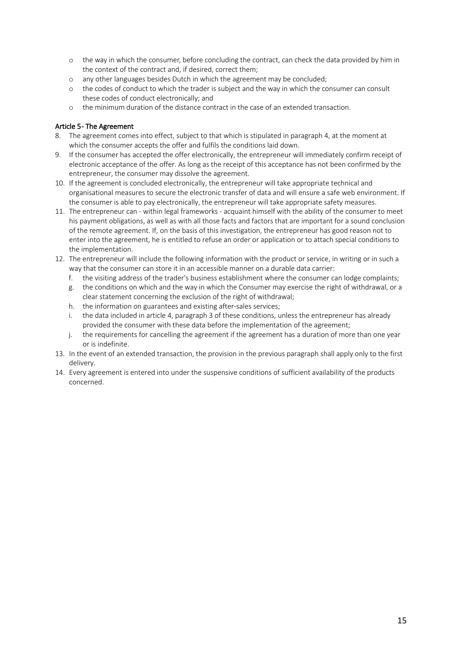- o the way in which the consumer, before concluding the contract, can check the data provided by him in the context of the contract and, if desired, correct them;
- o any other languages besides Dutch in which the agreement may be concluded;
- o the codes of conduct to which the trader is subject and the way in which the consumer can consult these codes of conduct electronically; and
- o the minimum duration of the distance contract in the case of an extended transaction.

### Article 5- The Agreement

- 8. The agreement comes into effect, subject to that which is stipulated in paragraph 4, at the moment at which the consumer accepts the offer and fulfils the conditions laid down.
- 9. If the consumer has accepted the offer electronically, the entrepreneur will immediately confirm receipt of electronic acceptance of the offer. As long as the receipt of this acceptance has not been confirmed by the entrepreneur, the consumer may dissolve the agreement.
- 10. If the agreement is concluded electronically, the entrepreneur will take appropriate technical and organisational measures to secure the electronic transfer of data and will ensure a safe web environment. If the consumer is able to pay electronically, the entrepreneur will take appropriate safety measures.
- 11. The entrepreneur can within legal frameworks acquaint himself with the ability of the consumer to meet his payment obligations, as well as with all those facts and factors that are important for a sound conclusion of the remote agreement. If, on the basis of this investigation, the entrepreneur has good reason not to enter into the agreement, he is entitled to refuse an order or application or to attach special conditions to the implementation.
- 12. The entrepreneur will include the following information with the product or service, in writing or in such a way that the consumer can store it in an accessible manner on a durable data carrier:
	- f. the visiting address of the trader's business establishment where the consumer can lodge complaints;
	- g. the conditions on which and the way in which the Consumer may exercise the right of withdrawal, or a clear statement concerning the exclusion of the right of withdrawal;
	- h. the information on guarantees and existing after-sales services;
	- i. the data included in article 4, paragraph 3 of these conditions, unless the entrepreneur has already provided the consumer with these data before the implementation of the agreement;
	- j. the requirements for cancelling the agreement if the agreement has a duration of more than one year or is indefinite.
- 13. In the event of an extended transaction, the provision in the previous paragraph shall apply only to the first delivery.
- 14. Every agreement is entered into under the suspensive conditions of sufficient availability of the products concerned.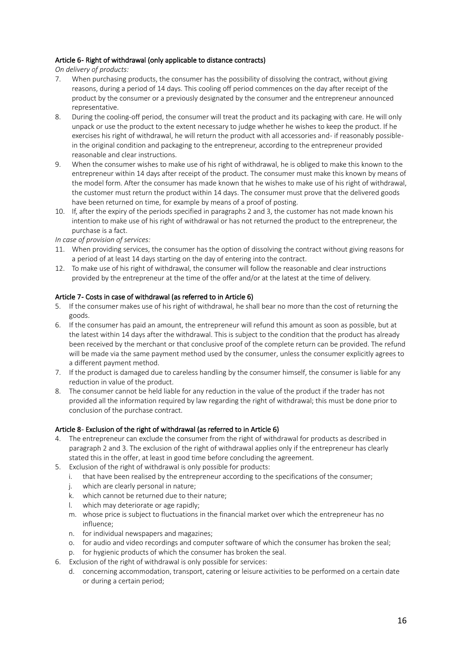# Article 6- Right of withdrawal (only applicable to distance contracts)

*On delivery of products:*

- 7. When purchasing products, the consumer has the possibility of dissolving the contract, without giving reasons, during a period of 14 days. This cooling off period commences on the day after receipt of the product by the consumer or a previously designated by the consumer and the entrepreneur announced representative.
- 8. During the cooling-off period, the consumer will treat the product and its packaging with care. He will only unpack or use the product to the extent necessary to judge whether he wishes to keep the product. If he exercises his right of withdrawal, he will return the product with all accessories and - if reasonably possible in the original condition and packaging to the entrepreneur, according to the entrepreneur provided reasonable and clear instructions.
- 9. When the consumer wishes to make use of his right of withdrawal, he is obliged to make this known to the entrepreneur within 14 days after receipt of the product. The consumer must make this known by means of the model form. After the consumer has made known that he wishes to make use of his right of withdrawal, the customer must return the product within 14 days. The consumer must prove that the delivered goods have been returned on time, for example by means of a proof of posting.
- 10. If, after the expiry of the periods specified in paragraphs 2 and 3, the customer has not made known his intention to make use of his right of withdrawal or has not returned the product to the entrepreneur, the purchase is a fact.

*In case of provision of services:*

- 11. When providing services, the consumer has the option of dissolving the contract without giving reasons for a period of at least 14 days starting on the day of entering into the contract.
- 12. To make use of his right of withdrawal, the consumer will follow the reasonable and clear instructions provided by the entrepreneur at the time of the offer and/or at the latest at the time of delivery.

### Article 7- Costs in case of withdrawal (as referred to in Article 6)

- 5. If the consumer makes use of his right of withdrawal, he shall bear no more than the cost of returning the goods.
- 6. If the consumer has paid an amount, the entrepreneur will refund this amount as soon as possible, but at the latest within 14 days after the withdrawal. This is subject to the condition that the product has already been received by the merchant or that conclusive proof of the complete return can be provided. The refund will be made via the same payment method used by the consumer, unless the consumer explicitly agrees to a different payment method.
- 7. If the product is damaged due to careless handling by the consumer himself, the consumer is liable for any reduction in value of the product.
- 8. The consumer cannot be held liable for any reduction in the value of the product if the trader has not provided all the information required by law regarding the right of withdrawal; this must be done prior to conclusion of the purchase contract.

# Article 8- Exclusion of the right of withdrawal (as referred to in Article 6)

- 4. The entrepreneur can exclude the consumer from the right of withdrawal for products as described in paragraph 2 and 3. The exclusion of the right of withdrawal applies only if the entrepreneur has clearly stated this in the offer, at least in good time before concluding the agreement.
- 5. Exclusion of the right of withdrawal is only possible for products:
	- i. that have been realised by the entrepreneur according to the specifications of the consumer;
	- j. which are clearly personal in nature;
	- k. which cannot be returned due to their nature;
	- l. which may deteriorate or age rapidly;
	- m. whose price is subject to fluctuations in the financial market over which the entrepreneur has no influence;
	- n. for individual newspapers and magazines;
	- o. for audio and video recordings and computer software of which the consumer has broken the seal;
	- p. for hygienic products of which the consumer has broken the seal.
- 6. Exclusion of the right of withdrawal is only possible for services:
	- d. concerning accommodation, transport, catering or leisure activities to be performed on a certain date or during a certain period;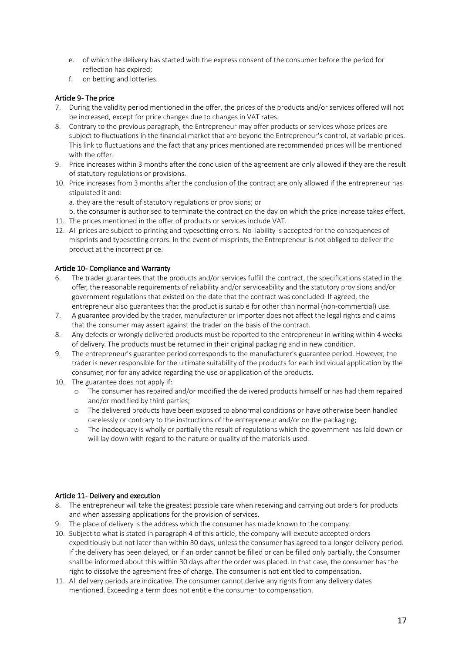- e. of which the delivery has started with the express consent of the consumer before the period for reflection has expired;
- f. on betting and lotteries.

### Article 9- The price

- 7. During the validity period mentioned in the offer, the prices of the products and/or services offered will not be increased, except for price changes due to changes in VAT rates.
- 8. Contrary to the previous paragraph, the Entrepreneur may offer products or services whose prices are subject to fluctuations in the financial market that are beyond the Entrepreneur's control, at variable prices. This link to fluctuations and the fact that any prices mentioned are recommended prices will be mentioned with the offer.
- 9. Price increases within 3 months after the conclusion of the agreement are only allowed if they are the result of statutory regulations or provisions.
- 10. Price increases from 3 months after the conclusion of the contract are only allowed if the entrepreneur has stipulated it and:

a. they are the result of statutory regulations or provisions; or

b. the consumer is authorised to terminate the contract on the day on which the price increase takes effect.

- 11. The prices mentioned in the offer of products or services include VAT.
- 12. All prices are subject to printing and typesetting errors. No liability is accepted for the consequences of misprints and typesetting errors. In the event of misprints, the Entrepreneur is not obliged to deliver the product at the incorrect price.

### Article 10- Compliance and Warranty

- 6. The trader guarantees that the products and/or services fulfill the contract, the specifications stated in the offer, the reasonable requirements of reliability and/or serviceability and the statutory provisions and/or government regulations that existed on the date that the contract was concluded. If agreed, the entrepreneur also guarantees that the product is suitable for other than normal (non-commercial) use.
- 7. A guarantee provided by the trader, manufacturer or importer does not affect the legal rights and claims that the consumer may assert against the trader on the basis of the contract.
- 8. Any defects or wrongly delivered products must be reported to the entrepreneur in writing within 4 weeks of delivery. The products must be returned in their original packaging and in new condition.
- 9. The entrepreneur's guarantee period corresponds to the manufacturer's guarantee period. However, the trader is never responsible for the ultimate suitability of the products for each individual application by the consumer, nor for any advice regarding the use or application of the products.
- 10. The guarantee does not apply if:
	- o The consumer has repaired and/or modified the delivered products himself or has had them repaired and/or modified by third parties;
	- o The delivered products have been exposed to abnormal conditions or have otherwise been handled carelessly or contrary to the instructions of the entrepreneur and/or on the packaging;
	- o The inadequacy is wholly or partially the result of regulations which the government has laid down or will lay down with regard to the nature or quality of the materials used.

#### Article 11- Delivery and execution

- 8. The entrepreneur will take the greatest possible care when receiving and carrying out orders for products and when assessing applications for the provision of services.
- 9. The place of delivery is the address which the consumer has made known to the company.
- 10. Subject to what is stated in paragraph 4 of this article, the company will execute accepted orders expeditiously but not later than within 30 days, unless the consumer has agreed to a longer delivery period. If the delivery has been delayed, or if an order cannot be filled or can be filled only partially, the Consumer shall be informed about this within 30 days after the order was placed. In that case, the consumer has the right to dissolve the agreement free of charge. The consumer is not entitled to compensation.
- 11. All delivery periods are indicative. The consumer cannot derive any rights from any delivery dates mentioned. Exceeding a term does not entitle the consumer to compensation.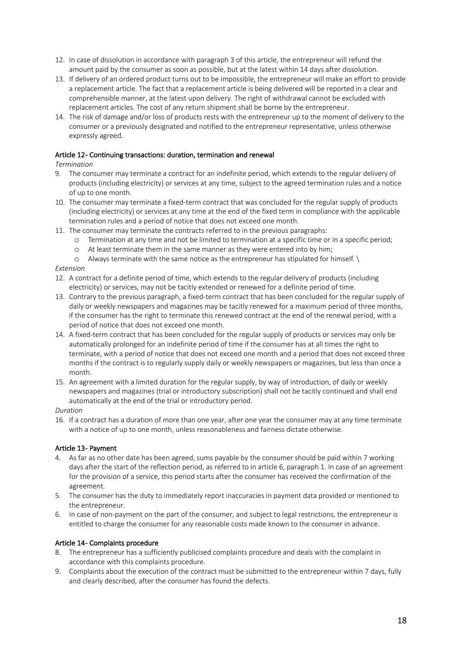- 12. In case of dissolution in accordance with paragraph 3 of this article, the entrepreneur will refund the amount paid by the consumer as soon as possible, but at the latest within 14 days after dissolution.
- 13. If delivery of an ordered product turns out to be impossible, the entrepreneur will make an effort to provide a replacement article. The fact that a replacement article is being delivered will be reported in a clear and comprehensible manner, at the latest upon delivery. The right of withdrawal cannot be excluded with replacement articles. The cost of any return shipment shall be borne by the entrepreneur.
- 14. The risk of damage and/or loss of products rests with the entrepreneur up to the moment of delivery to the consumer or a previously designated and notified to the entrepreneur representative, unless otherwise expressly agreed.

# Article 12- Continuing transactions: duration, termination and renewal

### *Termination*

- 9. The consumer may terminate a contract for an indefinite period, which extends to the regular delivery of products (including electricity) or services at any time, subject to the agreed termination rules and a notice of up to one month.
- 10. The consumer may terminate a fixed-term contract that was concluded for the regular supply of products (including electricity) or services at any time at the end of the fixed term in compliance with the applicable termination rules and a period of notice that does not exceed one month.
- 11. The consumer may terminate the contracts referred to in the previous paragraphs:
	- o Termination at any time and not be limited to termination at a specific time or in a specific period;
		- o At least terminate them in the same manner as they were entered into by him;
	- o Always terminate with the same notice as the entrepreneur has stipulated for himself. \

### *Extension*

- 12. A contract for a definite period of time, which extends to the regular delivery of products (including electricity) or services, may not be tacitly extended or renewed for a definite period of time.
- 13. Contrary to the previous paragraph, a fixed-term contract that has been concluded for the regular supply of daily or weekly newspapers and magazines may be tacitly renewed for a maximum period of three months, if the consumer has the right to terminate this renewed contract at the end of the renewal period, with a period of notice that does not exceed one month.
- 14. A fixed-term contract that has been concluded for the regular supply of products or services may only be automatically prolonged for an indefinite period of time if the consumer has at all times the right to terminate, with a period of notice that does not exceed one month and a period that does not exceed three months if the contract is to regularly supply daily or weekly newspapers or magazines, but less than once a month.
- 15. An agreement with a limited duration for the regular supply, by way of introduction, of daily or weekly newspapers and magazines (trial or introductory subscription) shall not be tacitly continued and shall end automatically at the end of the trial or introductory period.

#### *Duration*

16. If a contract has a duration of more than one year, after one year the consumer may at any time terminate with a notice of up to one month, unless reasonableness and fairness dictate otherwise.

# Article 13- Payment

- 4. As far as no other date has been agreed, sums payable by the consumer should be paid within 7 working days after the start of the reflection period, as referred to in article 6, paragraph 1. In case of an agreement for the provision of a service, this period starts after the consumer has received the confirmation of the agreement.
- 5. The consumer has the duty to immediately report inaccuracies in payment data provided or mentioned to the entrepreneur.
- 6. In case of non-payment on the part of the consumer, and subject to legal restrictions, the entrepreneur is entitled to charge the consumer for any reasonable costs made known to the consumer in advance.

# Article 14 - Complaints procedure

- 8. The entrepreneur has a sufficiently publicised complaints procedure and deals with the complaint in accordance with this complaints procedure.
- 9. Complaints about the execution of the contract must be submitted to the entrepreneur within 7 days, fully and clearly described, after the consumer has found the defects.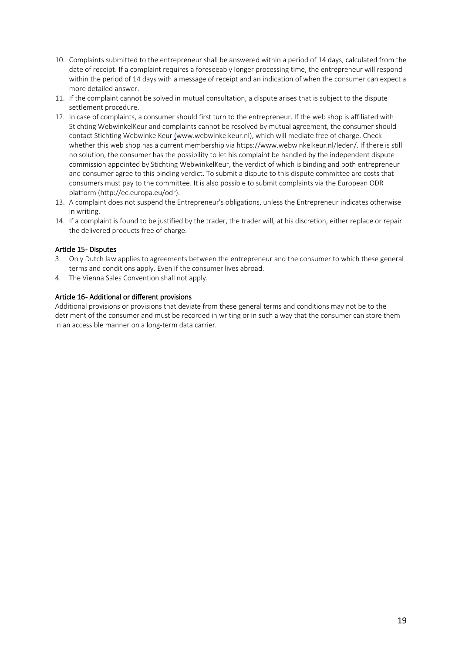- 10. Complaints submitted to the entrepreneur shall be answered within a period of 14 days, calculated from the date of receipt. If a complaint requires a foreseeably longer processing time, the entrepreneur will respond within the period of 14 days with a message of receipt and an indication of when the consumer can expect a more detailed answer.
- 11. If the complaint cannot be solved in mutual consultation, a dispute arises that is subject to the dispute settlement procedure.
- 12. In case of complaints, a consumer should first turn to the entrepreneur. If the web shop is affiliated with Stichting WebwinkelKeur and complaints cannot be resolved by mutual agreement, the consumer should contact Stichting WebwinkelKeur (www.webwinkelkeur.nl), which will mediate free of charge. Check whether this web shop has a current membership via https://www.webwinkelkeur.nl/leden/. If there is still no solution, the consumer has the possibility to let his complaint be handled by the independent dispute commission appointed by Stichting WebwinkelKeur, the verdict of which is binding and both entrepreneur and consumer agree to this binding verdict. To submit a dispute to this dispute committee are costs that consumers must pay to the committee. It is also possible to submit complaints via the European ODR platform (http://ec.europa.eu/odr).
- 13. A complaint does not suspend the Entrepreneur's obligations, unless the Entrepreneur indicates otherwise in writing.
- 14. If a complaint is found to be justified by the trader, the trader will, at his discretion, either replace or repair the delivered products free of charge.

### Article 15- Disputes

- 3. Only Dutch law applies to agreements between the entrepreneur and the consumer to which these general terms and conditions apply. Even if the consumer lives abroad.
- 4. The Vienna Sales Convention shall not apply.

### Article 16 - Additional or different provisions

Additional provisions or provisions that deviate from these general terms and conditions may not be to the detriment of the consumer and must be recorded in writing or in such a way that the consumer can store them in an accessible manner on a long-term data carrier.